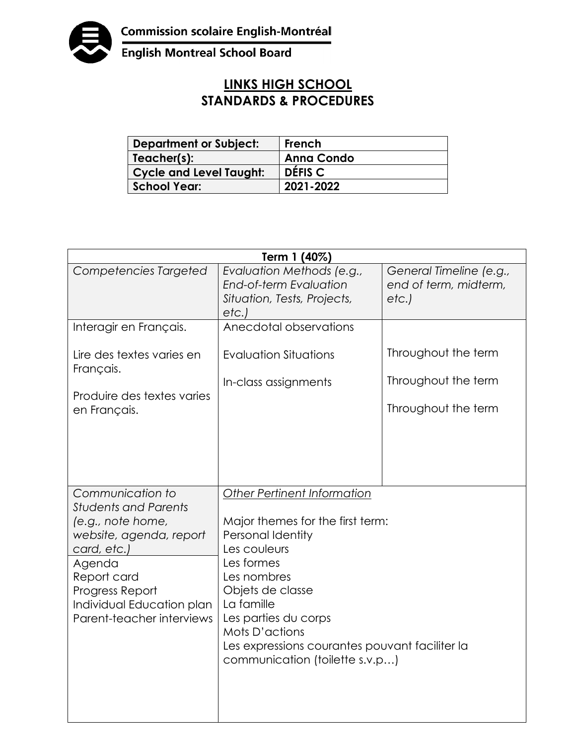

English Montreal School Board

## **LINKS HIGH SCHOOL STANDARDS & PROCEDURES**

| <b>Department or Subject:</b>  | French             |
|--------------------------------|--------------------|
| Teacher(s):                    | <b>Anna Condo</b>  |
| <b>Cycle and Level Taught:</b> | DÉFIS <sub>C</sub> |
| <b>School Year:</b>            | 2021-2022          |

| Term 1 (40%)                                                                                                                                                                                                         |                                                                                                                                                                                                                                                                                                   |                                                          |  |  |
|----------------------------------------------------------------------------------------------------------------------------------------------------------------------------------------------------------------------|---------------------------------------------------------------------------------------------------------------------------------------------------------------------------------------------------------------------------------------------------------------------------------------------------|----------------------------------------------------------|--|--|
| Competencies Targeted                                                                                                                                                                                                | Evaluation Methods (e.g.,<br>End-of-term Evaluation<br>Situation, Tests, Projects,<br>etc.)                                                                                                                                                                                                       | General Timeline (e.g.,<br>end of term, midterm,<br>etc. |  |  |
| Interagir en Français.                                                                                                                                                                                               | Anecdotal observations                                                                                                                                                                                                                                                                            |                                                          |  |  |
| Lire des textes varies en<br>Français.                                                                                                                                                                               | <b>Evaluation Situations</b>                                                                                                                                                                                                                                                                      | Throughout the term<br>Throughout the term               |  |  |
| Produire des textes varies<br>en Français.                                                                                                                                                                           | In-class assignments                                                                                                                                                                                                                                                                              | Throughout the term                                      |  |  |
| Communication to<br><b>Students and Parents</b><br>(e.g., note home,<br>website, agenda, report<br>card, etc.)<br>Agenda<br>Report card<br>Progress Report<br>Individual Education plan<br>Parent-teacher interviews | Other Pertinent Information<br>Major themes for the first term:<br>Personal Identity<br>Les couleurs<br>Les formes<br>Les nombres<br>Objets de classe<br>La famille<br>Les parties du corps<br>Mots D'actions<br>Les expressions courantes pouvant faciliter la<br>communication (toilette s.v.p) |                                                          |  |  |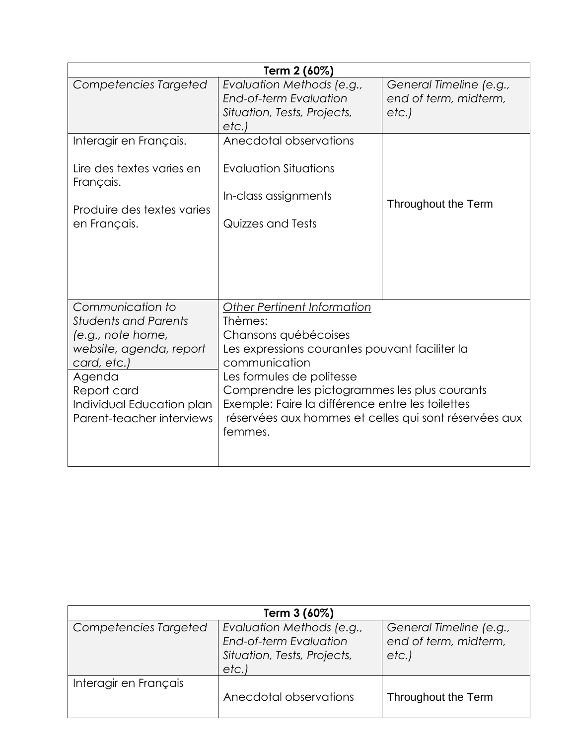| Term 2 (60%)                                                                                                                                                                                      |                                                                                                                                                                                                                                                                                                                                                |                                                          |  |  |
|---------------------------------------------------------------------------------------------------------------------------------------------------------------------------------------------------|------------------------------------------------------------------------------------------------------------------------------------------------------------------------------------------------------------------------------------------------------------------------------------------------------------------------------------------------|----------------------------------------------------------|--|--|
| Competencies Targeted                                                                                                                                                                             | Evaluation Methods (e.g.,<br>End-of-term Evaluation<br>Situation, Tests, Projects,<br>etc.)                                                                                                                                                                                                                                                    | General Timeline (e.g.,<br>end of term, midterm,<br>etc. |  |  |
| Interagir en Français.<br>Lire des textes varies en<br>Français.<br>Produire des textes varies<br>en Français.                                                                                    | Anecdotal observations<br><b>Evaluation Situations</b><br>In-class assignments<br>Quizzes and Tests                                                                                                                                                                                                                                            | Throughout the Term                                      |  |  |
| Communication to<br><b>Students and Parents</b><br>(e.g., note home,<br>website, agenda, report<br>card, etc.)<br>Agenda<br>Report card<br>Individual Education plan<br>Parent-teacher interviews | <b>Other Pertinent Information</b><br>Thèmes:<br>Chansons québécoises<br>Les expressions courantes pouvant faciliter la<br>communication<br>Les formules de politesse<br>Comprendre les pictogrammes les plus courants<br>Exemple: Faire la différence entre les toilettes<br>réservées aux hommes et celles qui sont réservées aux<br>femmes. |                                                          |  |  |

| Term 3 (60%)          |                                                                                                   |                                                          |  |
|-----------------------|---------------------------------------------------------------------------------------------------|----------------------------------------------------------|--|
| Competencies Targeted | Evaluation Methods (e.g.,<br><b>End-of-term Evaluation</b><br>Situation, Tests, Projects,<br>etc. | General Timeline (e.g.,<br>end of term, midterm,<br>etc. |  |
| Interagir en Français | Anecdotal observations                                                                            | Throughout the Term                                      |  |